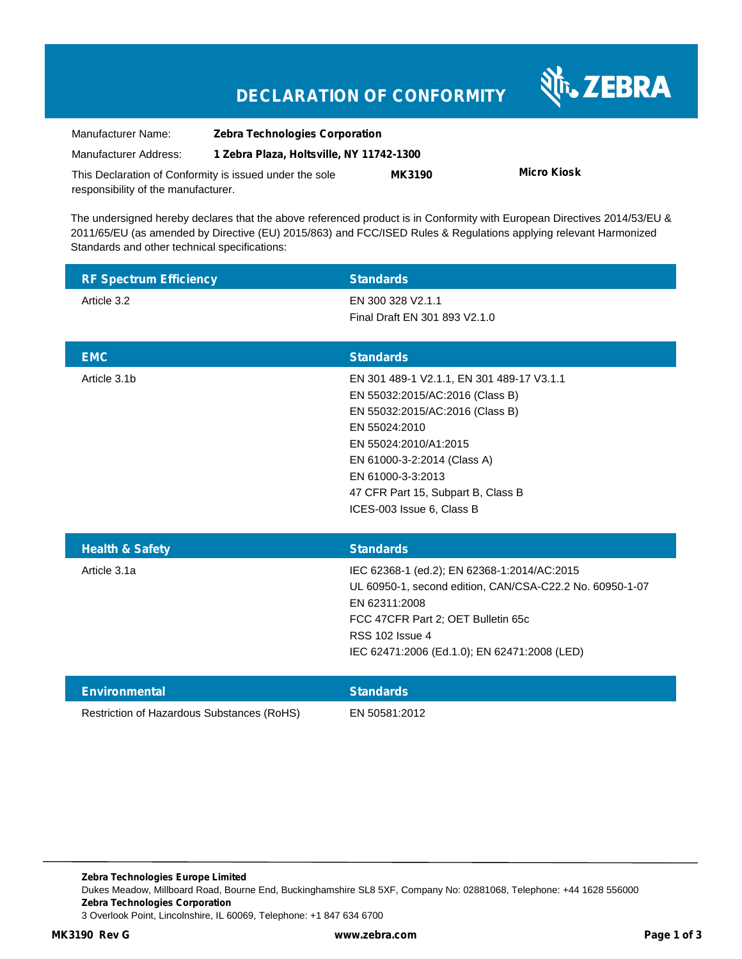# **DECLARATION OF CONFORMITY WITH ZEBRA**

| Manufacturer Name:                                      | <b>Zebra Technologies Corporation</b>    |               |             |
|---------------------------------------------------------|------------------------------------------|---------------|-------------|
| Manufacturer Address:                                   | 1 Zebra Plaza, Holtsville, NY 11742-1300 |               |             |
| This Declaration of Conformity is issued under the sole |                                          | <b>MK3190</b> | Micro Kiosk |
| responsibility of the manufacturer.                     |                                          |               |             |

The undersigned hereby declares that the above referenced product is in Conformity with European Directives 2014/53/EU & 2011/65/EU (as amended by Directive (EU) 2015/863) and FCC/ISED Rules & Regulations applying relevant Harmonized Standards and other technical specifications:

| <b>RF Spectrum Efficiency</b> | <b>Standards</b>                                         |
|-------------------------------|----------------------------------------------------------|
| Article 3.2                   | EN 300 328 V2.1.1                                        |
|                               | Final Draft EN 301 893 V2.1.0                            |
|                               |                                                          |
| <b>EMC</b>                    | <b>Standards</b>                                         |
| Article 3.1b                  | EN 301 489-1 V2.1.1, EN 301 489-17 V3.1.1                |
|                               | EN 55032:2015/AC:2016 (Class B)                          |
|                               | EN 55032:2015/AC:2016 (Class B)                          |
|                               | EN 55024:2010                                            |
|                               | EN 55024:2010/A1:2015                                    |
|                               | EN 61000-3-2:2014 (Class A)                              |
|                               | EN 61000-3-3:2013                                        |
|                               | 47 CFR Part 15, Subpart B, Class B                       |
|                               | ICES-003 Issue 6, Class B                                |
| <b>Health &amp; Safety</b>    |                                                          |
|                               |                                                          |
|                               | <b>Standards</b>                                         |
| Article 3.1a                  | IEC 62368-1 (ed.2); EN 62368-1:2014/AC:2015              |
|                               | UL 60950-1, second edition, CAN/CSA-C22.2 No. 60950-1-07 |
|                               | EN 62311:2008                                            |
|                               | FCC 47CFR Part 2; OET Bulletin 65c                       |
|                               | <b>RSS 102 Issue 4</b>                                   |
|                               | IEC 62471:2006 (Ed.1.0); EN 62471:2008 (LED)             |
| <b>Environmental</b>          | <b>Standards</b>                                         |

**Zebra Technologies Europe Limited** Dukes Meadow, Millboard Road, Bourne End, Buckinghamshire SL8 5XF, Company No: 02881068, Telephone: +44 1628 556000 **Zebra Technologies Corporation** 3 Overlook Point, Lincolnshire, IL 60069, Telephone: +1 847 634 6700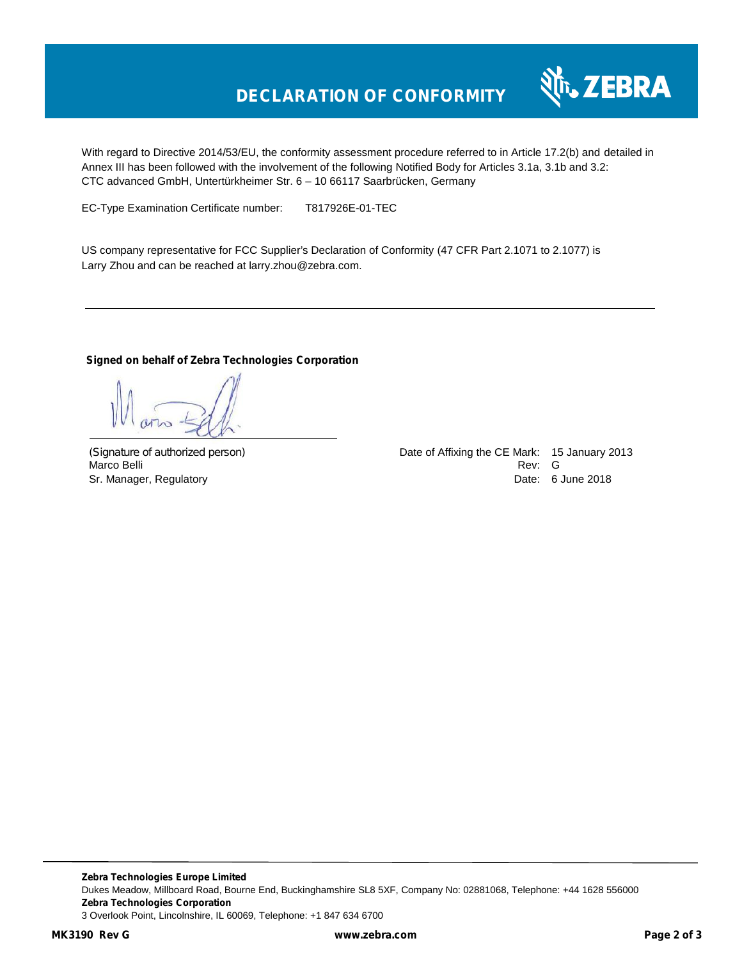

With regard to Directive 2014/53/EU, the conformity assessment procedure referred to in Article 17.2(b) and detailed in Annex III has been followed with the involvement of the following Notified Body for Articles 3.1a, 3.1b and 3.2: CTC advanced GmbH, Untertürkheimer Str. 6 – 10 66117 Saarbrücken, Germany

EC-Type Examination Certificate number: T817926E-01-TEC

US company representative for FCC Supplier's Declaration of Conformity (47 CFR Part 2.1071 to 2.1077) is Larry Zhou and can be reached at larry.zhou@zebra.com.

### **Signed on behalf of Zebra Technologies Corporation**

*(Signature of authorized person)* Date of Affixing the CE Mark: 15 January 2013 Marco Belli Rev: Good and Service and Service and Service and Service and Service and Service and Service and S Sr. Manager, Regulatory **Date: 6 June 2018**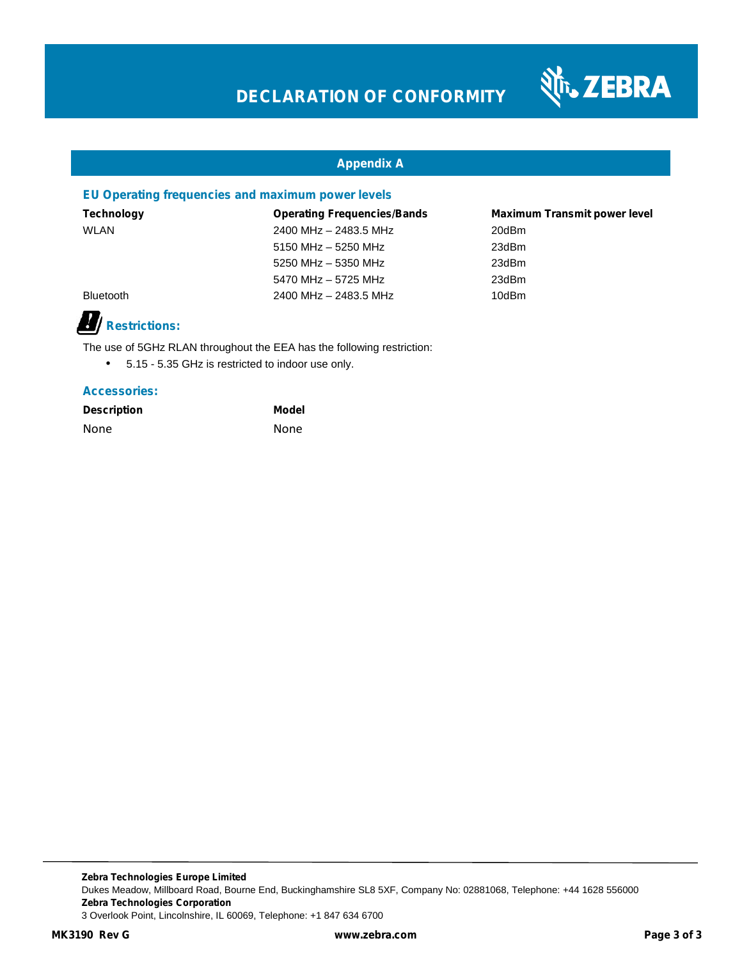

### **Appendix A**

### **EU Operating frequencies and maximum power levels**

| Technology       | <b>Operating Frequencies/Bands</b> | <b>Maximum Transmit power level</b> |
|------------------|------------------------------------|-------------------------------------|
| WLAN             | 2400 MHz - 2483.5 MHz              | 20dBm                               |
|                  | 5150 MHz $-$ 5250 MHz              | 23dBm                               |
|                  | 5250 MHz - 5350 MHz                | 23dBm                               |
|                  | 5470 MHz - 5725 MHz                | 23dBm                               |
| <b>Bluetooth</b> | 2400 MHz - 2483.5 MHz              | 10dBm                               |
|                  |                                    |                                     |

## **Restrictions:**

The use of 5GHz RLAN throughout the EEA has the following restriction:

5.15 - 5.35 GHz is restricted to indoor use only.

### **Accessories:**

| <b>Description</b> | Model |
|--------------------|-------|
| None               | None  |

**Zebra Technologies Europe Limited** Dukes Meadow, Millboard Road, Bourne End, Buckinghamshire SL8 5XF, Company No: 02881068, Telephone: +44 1628 556000 **Zebra Technologies Corporation** 3 Overlook Point, Lincolnshire, IL 60069, Telephone: +1 847 634 6700